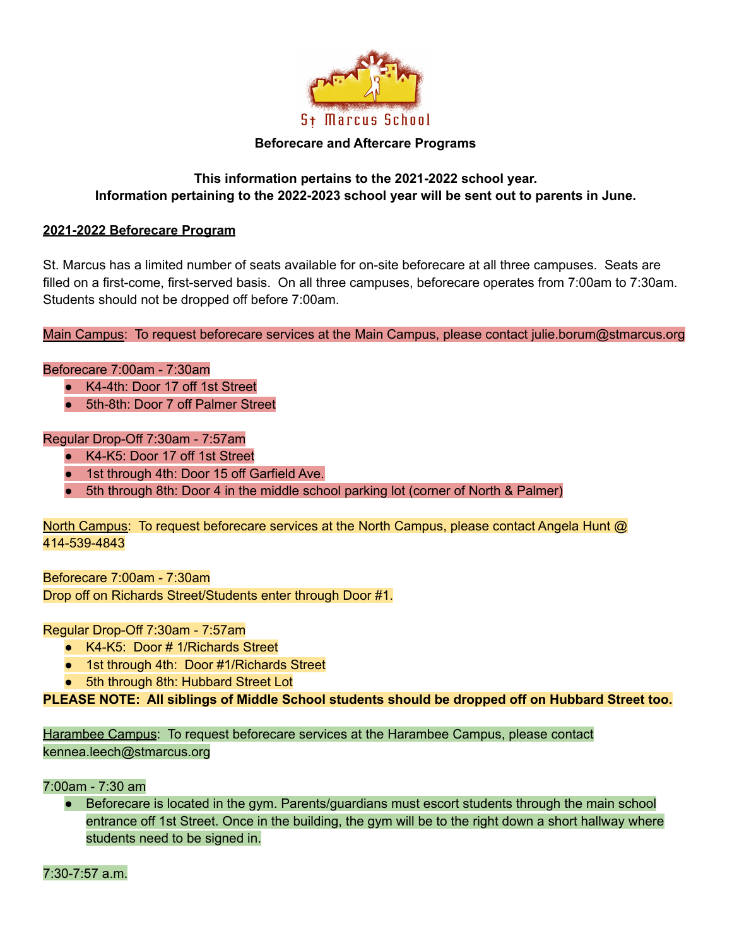

#### **Beforecare and Aftercare Programs**

#### **This information pertains to the 2021-2022 school year. Information pertaining to the 2022-2023 school year will be sent out to parents in June.**

#### **2021-2022 Beforecare Program**

St. Marcus has a limited number of seats available for on-site beforecare at all three campuses. Seats are filled on a first-come, first-served basis. On all three campuses, beforecare operates from 7:00am to 7:30am. Students should not be dropped off before 7:00am.

Main Campus: To request beforecare services at the Main Campus, please contact julie.borum@stmarcus.org

#### Beforecare 7:00am - 7:30am

- K4-4th: Door 17 off 1st Street
- 5th-8th: Door 7 off Palmer Street

#### Regular Drop-Off 7:30am - 7:57am

- K4-K5: Door 17 off 1st Street
- 1st through 4th: Door 15 off Garfield Ave.
- 5th through 8th: Door 4 in the middle school parking lot (corner of North & Palmer)

North Campus: To request beforecare services at the North Campus, please contact Angela Hunt @ 414-539-4843

Beforecare 7:00am - 7:30am Drop off on Richards Street/Students enter through Door #1.

Regular Drop-Off 7:30am - 7:57am

- K4-K5: Door # 1/Richards Street
- 1st through 4th: Door #1/Richards Street
- 5th through 8th: Hubbard Street Lot

**PLEASE NOTE: All siblings of Middle School students should be dropped off on Hubbard Street too.**

Harambee Campus: To request beforecare services at the Harambee Campus, please contact kennea.leech@stmarcus.org

7:00am - 7:30 am

Beforecare is located in the gym. Parents/guardians must escort students through the main school entrance off 1st Street. Once in the building, the gym will be to the right down a short hallway where students need to be signed in.

7:30-7:57 a.m.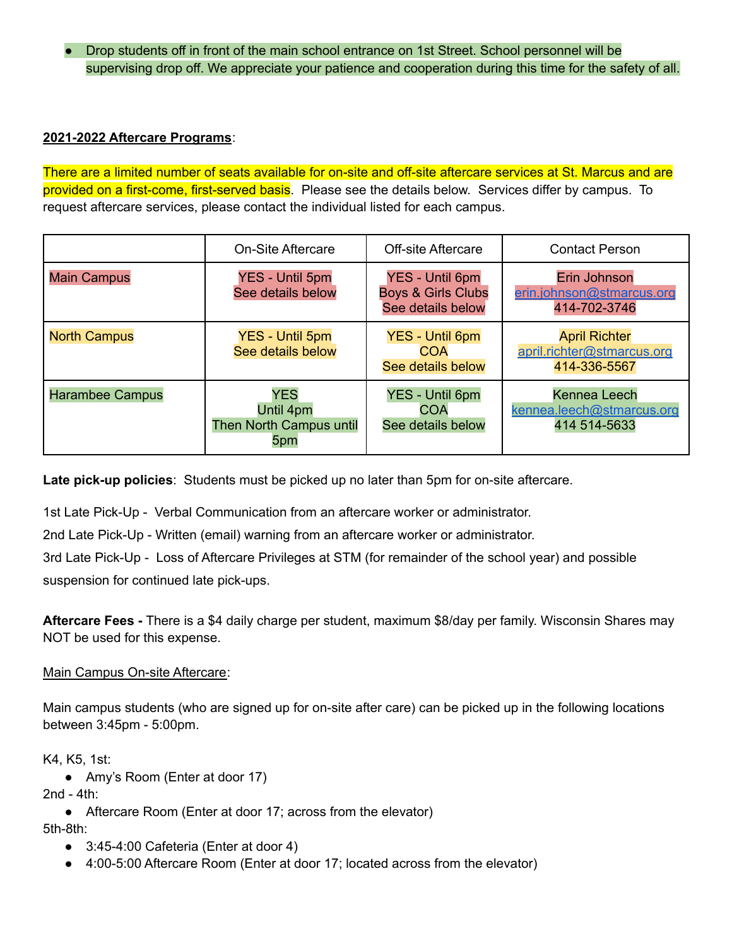● Drop students off in front of the main school entrance on 1st Street. School personnel will be supervising drop off. We appreciate your patience and cooperation during this time for the safety of all.

### **2021-2022 Aftercare Programs**:

There are a limited number of seats available for on-site and off-site aftercare services at St. Marcus and are provided on a first-come, first-served basis. Please see the details below. Services differ by campus. To request aftercare services, please contact the individual listed for each campus.

|                        | On-Site Aftercare                                                | <b>Off-site Aftercare</b>                                                    | <b>Contact Person</b>                                              |
|------------------------|------------------------------------------------------------------|------------------------------------------------------------------------------|--------------------------------------------------------------------|
| <b>Main Campus</b>     | <b>YES - Until 5pm</b><br>See details below                      | <b>YES - Until 6pm</b><br><b>Boys &amp; Girls Clubs</b><br>See details below | Erin Johnson<br>erin.johnson@stmarcus.org<br>414-702-3746          |
| <b>North Campus</b>    | <b>YES - Until 5pm</b><br>See details below                      | <b>YES - Until 6pm</b><br><b>COA</b><br>See details below                    | <b>April Richter</b><br>april.richter@stmarcus.org<br>414-336-5567 |
| <b>Harambee Campus</b> | <b>YES</b><br>Until 4pm<br><b>Then North Campus until</b><br>5pm | YES - Until 6pm<br>COA<br>See details below                                  | <b>Kennea Leech</b><br>kennea.leech@stmarcus.org<br>414 514-5633   |

**Late pick-up policies**: Students must be picked up no later than 5pm for on-site aftercare.

1st Late Pick-Up - Verbal Communication from an aftercare worker or administrator.

2nd Late Pick-Up - Written (email) warning from an aftercare worker or administrator.

3rd Late Pick-Up - Loss of Aftercare Privileges at STM (for remainder of the school year) and possible suspension for continued late pick-ups.

**Aftercare Fees -** There is a \$4 daily charge per student, maximum \$8/day per family. Wisconsin Shares may NOT be used for this expense.

### Main Campus On-site Aftercare:

Main campus students (who are signed up for on-site after care) can be picked up in the following locations between 3:45pm - 5:00pm.

K4, K5, 1st:

● Amy's Room (Enter at door 17)

2nd - 4th:

● Aftercare Room (Enter at door 17; across from the elevator)

5th-8th:

- 3:45-4:00 Cafeteria (Enter at door 4)
- 4:00-5:00 Aftercare Room (Enter at door 17; located across from the elevator)